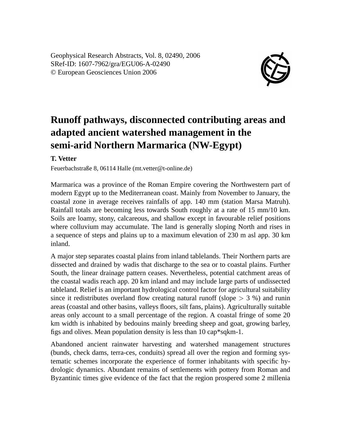Geophysical Research Abstracts, Vol. 8, 02490, 2006 SRef-ID: 1607-7962/gra/EGU06-A-02490 © European Geosciences Union 2006



## **Runoff pathways, disconnected contributing areas and adapted ancient watershed management in the semi-arid Northern Marmarica (NW-Egypt)**

## **T. Vetter**

Feuerbachstraße 8, 06114 Halle (mt.vetter@t-online.de)

Marmarica was a province of the Roman Empire covering the Northwestern part of modern Egypt up to the Mediterranean coast. Mainly from November to January, the coastal zone in average receives rainfalls of app. 140 mm (station Marsa Matruh). Rainfall totals are becoming less towards South roughly at a rate of 15 mm/10 km. Soils are loamy, stony, calcareous, and shallow except in favourable relief positions where colluvium may accumulate. The land is generally sloping North and rises in a sequence of steps and plains up to a maximum elevation of 230 m asl app. 30 km inland.

A major step separates coastal plains from inland tablelands. Their Northern parts are dissected and drained by wadis that discharge to the sea or to coastal plains. Further South, the linear drainage pattern ceases. Nevertheless, potential catchment areas of the coastal wadis reach app. 20 km inland and may include large parts of undissected tableland. Relief is an important hydrological control factor for agricultural suitability since it redistributes overland flow creating natural runoff (slope  $> 3$  %) and runin areas (coastal and other basins, valleys floors, silt fans, plains). Agriculturally suitable areas only account to a small percentage of the region. A coastal fringe of some 20 km width is inhabited by bedouins mainly breeding sheep and goat, growing barley, figs and olives. Mean population density is less than 10 cap\*sqkm-1.

Abandoned ancient rainwater harvesting and watershed management structures (bunds, check dams, terra-ces, conduits) spread all over the region and forming systematic schemes incorporate the experience of former inhabitants with specific hydrologic dynamics. Abundant remains of settlements with pottery from Roman and Byzantinic times give evidence of the fact that the region prospered some 2 millenia